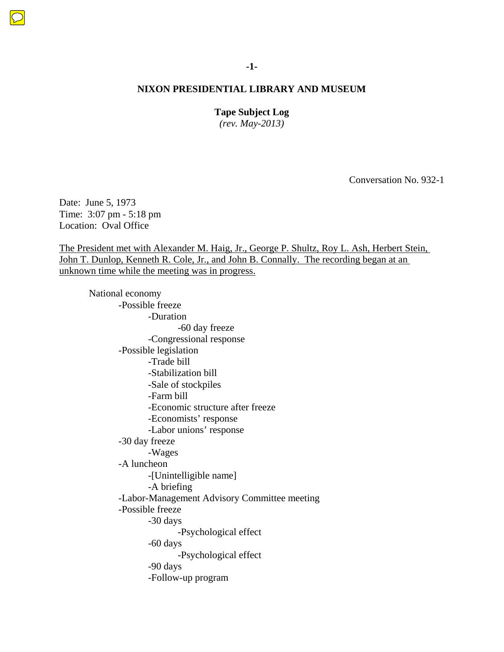## **Tape Subject Log**

*(rev. May-2013)* 

Conversation No. 932-1

Date: June 5, 1973 Time: 3:07 pm - 5:18 pm Location: Oval Office

The President met with Alexander M. Haig, Jr., George P. Shultz, Roy L. Ash, Herbert Stein, John T. Dunlop, Kenneth R. Cole, Jr., and John B. Connally. The recording began at an unknown time while the meeting was in progress.

 National economy -Possible freeze -Duration -60 day freeze -Congressional response -Possible legislation -Trade bill -Stabilization bill -Sale of stockpiles -Farm bill -Economic structure after freeze -Economists' response -Labor unions' response -30 day freeze -Wages -A luncheon -[Unintelligible name] -A briefing -Labor-Management Advisory Committee meeting -Possible freeze -30 days -Psychological effect -60 days -Psychological effect -90 days -Follow-up program

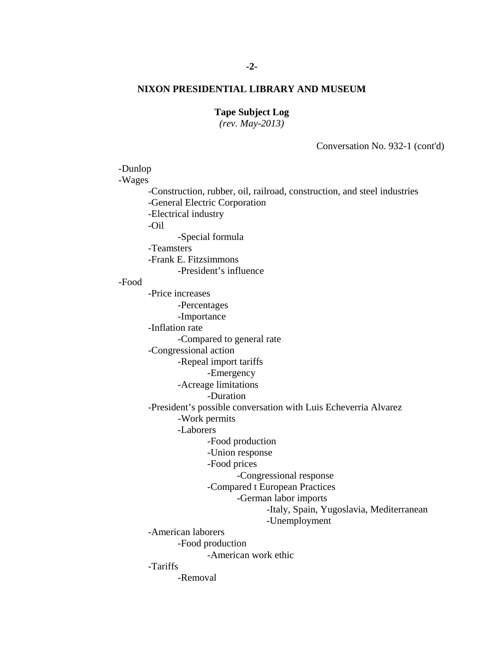### **Tape Subject Log**

*(rev. May-2013)* 

Conversation No. 932-1 (cont'd)

-Dunlop -Wages -Construction, rubber, oil, railroad, construction, and steel industries -General Electric Corporation -Electrical industry -Oil -Special formula -Teamsters -Frank E. Fitzsimmons -President's influence -Food -Price increases -Percentages -Importance -Inflation rate -Compared to general rate -Congressional action -Repeal import tariffs -Emergency -Acreage limitations -Duration -President's possible conversation with Luis Echeverria Alvarez -Work permits -Laborers -Food production -Union response -Food prices -Congressional response -Compared t European Practices -German labor imports -Italy, Spain, Yugoslavia, Mediterranean -Unemployment -American laborers -Food production -American work ethic -Tariffs -Removal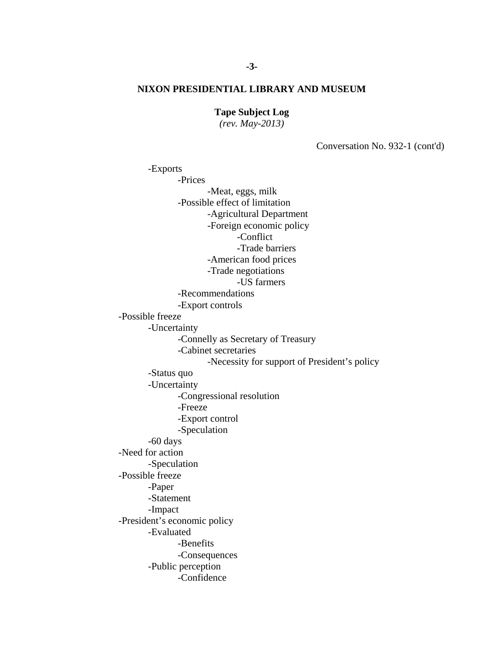**Tape Subject Log** 

*(rev. May-2013)* 

Conversation No. 932-1 (cont'd)

 -Meat, eggs, milk -US farmers -Exports -Prices -Possible effect of limitation -Agricultural Department -Foreign economic policy -Conflict -Trade barriers -American food prices -Trade negotiations -Recommendations -Export controls -Possible freeze -Uncertainty -Connelly as Secretary of Treasury -Cabinet secretaries -Necessity for support of President's policy -Status quo -Uncertainty -Congressional resolution -Freeze -Export control -Speculation -60 days -Need for action -Speculation -Possible freeze -Paper -Statement -Impact -President's economic policy -Evaluated -Benefits -Consequences -Public perception -Confidence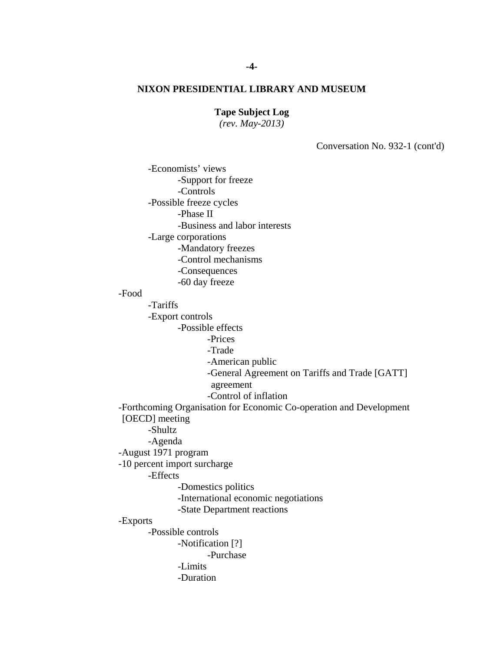# **Tape Subject Log**

*(rev. May-2013)* 

Conversation No. 932-1 (cont'd)

-Economists' views

 -Support for freeze -Controls -Possible freeze cycles

-Phase II

-Business and labor interests

-Large corporations

-Mandatory freezes

-Control mechanisms

-Consequences

-60 day freeze

-Food

-Tariffs

-Export controls

-Possible effects

-Prices

-Trade

-American public

-General Agreement on Tariffs and Trade [GATT]

agreement

-Control of inflation

-Forthcoming Organisation for Economic Co-operation and Development [OECD] meeting

-Shultz

-Agenda

-August 1971 program

-10 percent import surcharge

-Effects

-Domestics politics

-International economic negotiations

-State Department reactions

-Exports

-Possible controls

-Notification [?]

-Purchase

-Limits

-Duration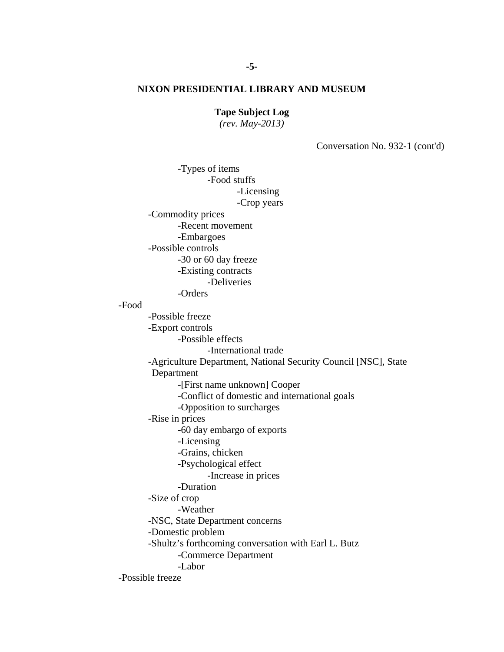**Tape Subject Log** 

*(rev. May-2013)* 

Conversation No. 932-1 (cont'd)

 -Crop years -Types of items -Food stuffs -Licensing -Commodity prices -Recent movement -Embargoes -Possible controls -30 or 60 day freeze -Existing contracts -Deliveries -Orders -Food -Possible freeze -Export controls -Possible effects -International trade -Agriculture Department, National Security Council [NSC], State Department -[First name unknown] Cooper -Conflict of domestic and international goals -Opposition to surcharges -Rise in prices -60 day embargo of exports -Licensing -Grains, chicken -Psychological effect -Increase in prices -Duration -Size of crop -Weather -NSC, State Department concerns -Domestic problem -Shultz's forthcoming conversation with Earl L. Butz -Commerce Department -Labor -Possible freeze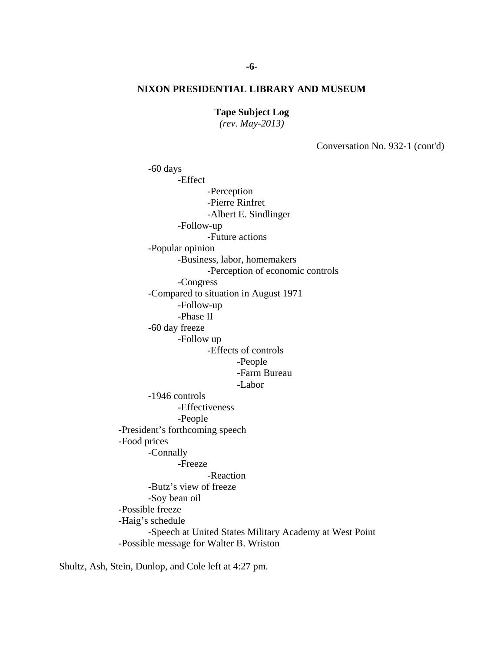**Tape Subject Log** 

*(rev. May-2013)* 

Conversation No. 932-1 (cont'd)

 -Pierre Rinfret -Phase II -Follow up **Example 18 For Principle 19 Farm Bureau**  -60 days -Effect -Perception -Albert E. Sindlinger -Follow-up -Future actions -Popular opinion -Business, labor, homemakers -Perception of economic controls -Congress -Compared to situation in August 1971 -Follow-up -60 day freeze -Effects of controls -People -Labor -1946 controls -Effectiveness -People -President's forthcoming speech -Food prices -Connally -Freeze -Reaction -Butz's view of freeze -Soy bean oil -Possible freeze -Haig's schedule -Speech at United States Military Academy at West Point -Possible message for Walter B. Wriston

Shultz, Ash, Stein, Dunlop, and Cole left at 4:27 pm.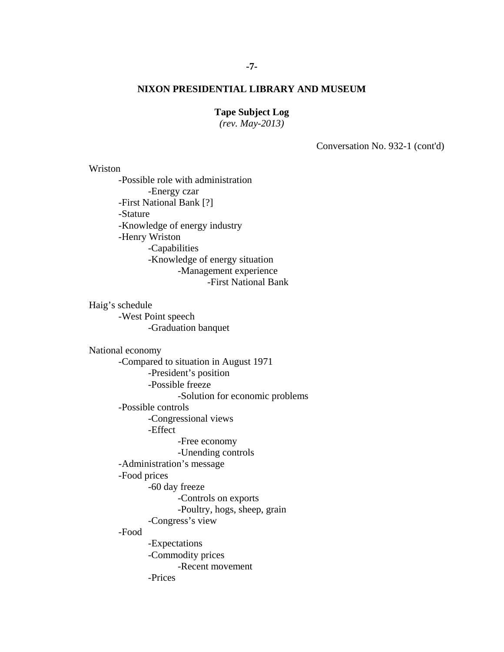## **-7-**

### **NIXON PRESIDENTIAL LIBRARY AND MUSEUM**

#### **Tape Subject Log**

*(rev. May-2013)* 

Conversation No. 932-1 (cont'd)

 -First National Bank Wriston -Possible role with administration -Energy czar -First National Bank [?] -Stature -Knowledge of energy industry -Henry Wriston -Capabilities -Knowledge of energy situation -Management experience Haig's schedule

 -West Point speech -Graduation banquet

 -President's position -Free economy National economy -Compared to situation in August 1971 -Possible freeze -Solution for economic problems -Possible controls -Congressional views -Effect -Unending controls -Administration's message -Food prices -60 day freeze -Controls on exports -Poultry, hogs, sheep, grain -Congress's view -Food -Expectations -Commodity prices -Recent movement -Prices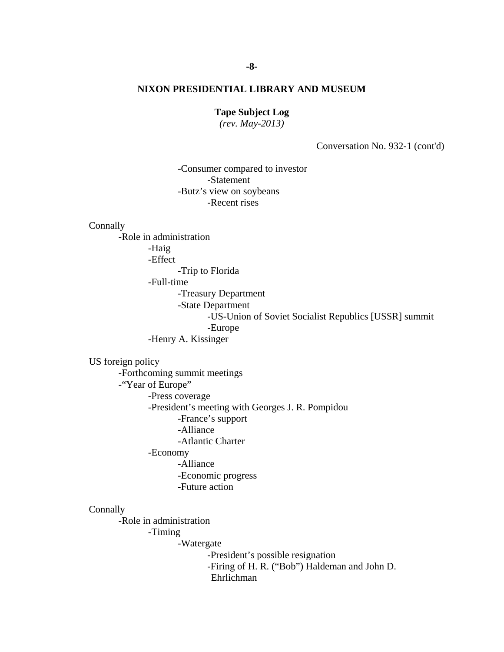# **-8-**

### **NIXON PRESIDENTIAL LIBRARY AND MUSEUM**

#### **Tape Subject Log**

*(rev. May-2013)* 

Conversation No. 932-1 (cont'd)

 -Consumer compared to investor -Statement -Butz's view on soybeans -Recent rises

#### **Connally**

-Role in administration

-Haig

-Effect

-Trip to Florida

-Full-time

-Treasury Department

- -State Department
	- -US-Union of Soviet Socialist Republics [USSR] summit

-Europe

-Henry A. Kissinger

## US foreign policy

 -Forthcoming summit meetings -"Year of Europe" -Press coverage -President's meeting with Georges J. R. Pompidou -France's support -Alliance -Atlantic Charter -Economy -Alliance

-Economic progress

-Future action

### **Connally**

-Role in administration

### -Timing

-Watergate

-President's possible resignation

-Firing of H. R. ("Bob") Haldeman and John D.

Ehrlichman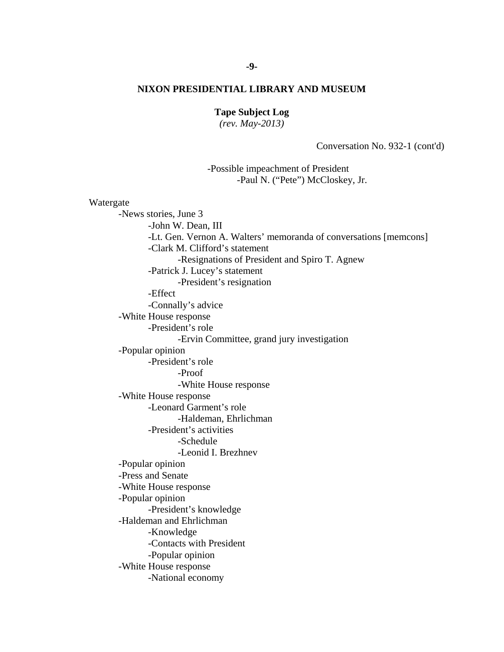#### **-9-**

### **NIXON PRESIDENTIAL LIBRARY AND MUSEUM**

### **Tape Subject Log**

*(rev. May-2013)* 

Conversation No. 932-1 (cont'd)

 -Possible impeachment of President -Paul N. ("Pete") McCloskey, Jr.

### Watergate

 -President's activities -News stories, June 3 -John W. Dean, III -Lt. Gen. Vernon A. Walters' memoranda of conversations [memcons] -Clark M. Clifford's statement -Resignations of President and Spiro T. Agnew -Patrick J. Lucey's statement -President's resignation -Effect -Connally's advice -White House response -President's role -Ervin Committee, grand jury investigation -Popular opinion -President's role -Proof -White House response -White House response -Leonard Garment's role -Haldeman, Ehrlichman -Schedule -Leonid I. Brezhnev -Popular opinion -Press and Senate -White House response -Popular opinion -President's knowledge -Haldeman and Ehrlichman -Knowledge -Contacts with President -Popular opinion -White House response -National economy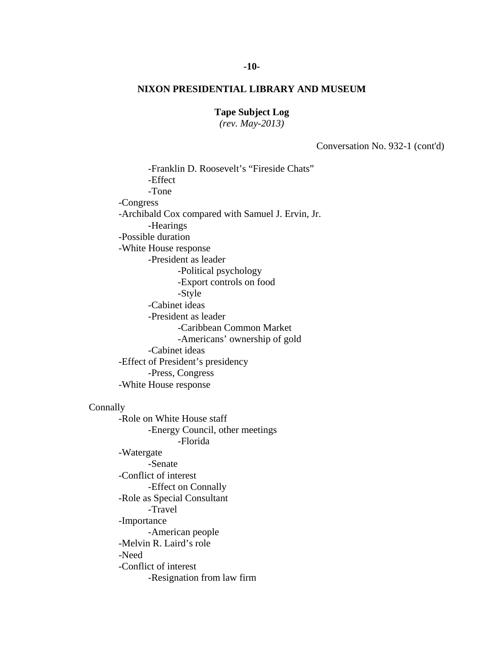**Tape Subject Log** 

*(rev. May-2013)* 

Conversation No. 932-1 (cont'd)

-Franklin D. Roosevelt's "Fireside Chats" -Effect -Tone -Congress -Archibald Cox compared with Samuel J. Ervin, Jr. -Hearings -Possible duration -White House response -President as leader -Political psychology -Export controls on food -Style -Cabinet ideas -President as leader -Caribbean Common Market -Americans' ownership of gold -Cabinet ideas -Effect of President's presidency -Press, Congress -White House response **Connally** -Role on White House staff -Energy Council, other meetings -Florida -Watergate -Senate -Conflict of interest -Effect on Connally -Role as Special Consultant -Travel -Importance

-American people

-Melvin R. Laird's role

# -Need

-Conflict of interest

-Resignation from law firm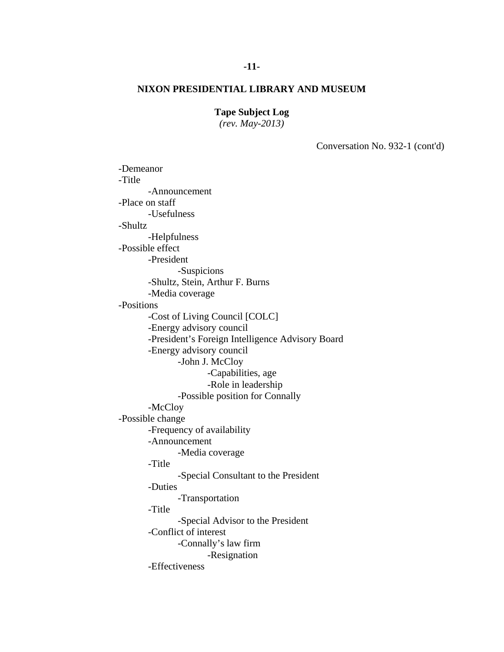## **-11-**

### **NIXON PRESIDENTIAL LIBRARY AND MUSEUM**

### **Tape Subject Log**

*(rev. May-2013)* 

Conversation No. 932-1 (cont'd)

 -Demeanor -Title -Announcement -Place on staff -Usefulness -Shultz -Helpfulness -Possible effect -President -Suspicions -Shultz, Stein, Arthur F. Burns -Media coverage -Positions -Cost of Living Council [COLC] -Energy advisory council -President's Foreign Intelligence Advisory Board -Energy advisory council -John J. McCloy -Capabilities, age -Role in leadership -Possible position for Connally -McCloy -Possible change -Frequency of availability -Announcement -Media coverage -Title -Special Consultant to the President -Duties -Transportation -Title -Special Advisor to the President -Conflict of interest -Connally's law firm -Resignation -Effectiveness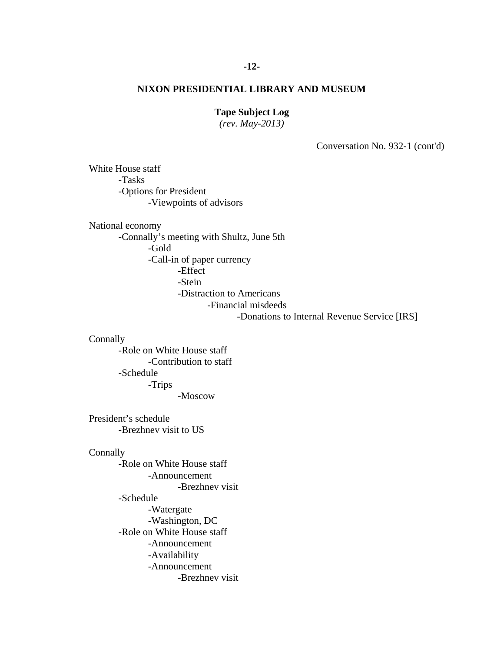## **-12-**

## **NIXON PRESIDENTIAL LIBRARY AND MUSEUM**

#### **Tape Subject Log**

*(rev. May-2013)* 

Conversation No. 932-1 (cont'd)

White House staff -Tasks -Options for President -Viewpoints of advisors

National economy

-Connally's meeting with Shultz, June 5th -Gold -Call-in of paper currency -Effect -Stein -Distraction to Americans -Financial misdeeds

-Donations to Internal Revenue Service [IRS]

**Connally** 

-Role on White House staff -Contribution to staff -Schedule -Trips -Moscow

 President's schedule -Brezhnev visit to US

## **Connally**

-Role on White House staff -Announcement -Brezhnev visit -Schedule -Watergate -Washington, DC -Role on White House staff -Announcement -Availability -Announcement -Brezhnev visit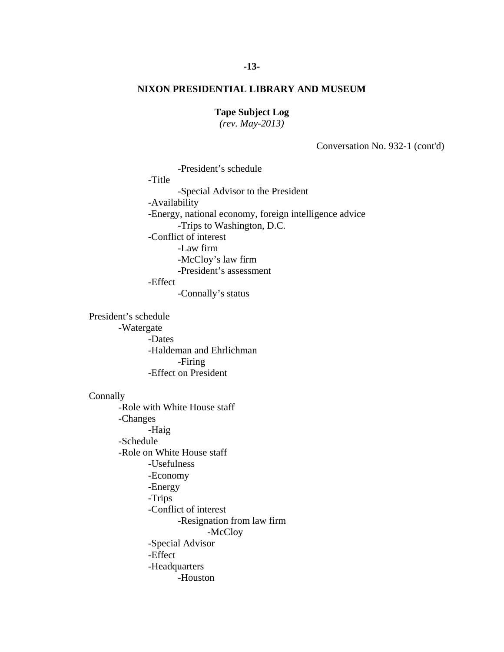### **-13-**

### **NIXON PRESIDENTIAL LIBRARY AND MUSEUM**

### **Tape Subject Log**

*(rev. May-2013)* 

Conversation No. 932-1 (cont'd)

-President's schedule

-Title

-Special Advisor to the President

-Availability

-Energy, national economy, foreign intelligence advice

-Trips to Washington, D.C.

-Conflict of interest

-Law firm

-McCloy's law firm

-President's assessment

-Effect

-Connally's status

 President's schedule -Watergate -Dates -Haldeman and Ehrlichman -Firing -Effect on President

## Connally

 -Resignation from law firm -Role with White House staff -Changes -Haig -Schedule -Role on White House staff -Usefulness -Economy -Energy -Trips -Conflict of interest -McCloy -Special Advisor -Effect -Headquarters -Houston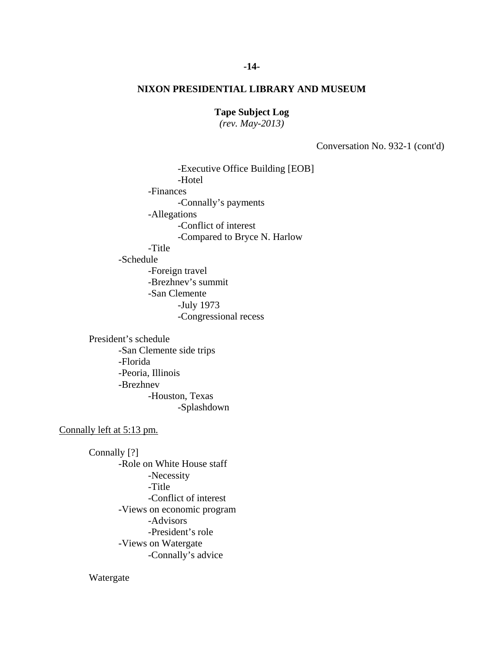**Tape Subject Log** 

*(rev. May-2013)* 

Conversation No. 932-1 (cont'd)

 -Executive Office Building [EOB] -Hotel -Finances -Connally's payments -Allegations -Conflict of interest -Compared to Bryce N. Harlow -Title -Schedule -Foreign travel -Brezhnev's summit -San Clemente -July 1973 -Congressional recess

 President's schedule -San Clemente side trips -Florida -Peoria, Illinois -Brezhnev -Houston, Texas -Splashdown

Connally left at 5:13 pm.

 Connally [?] -Role on White House staff -Necessity -Title -Conflict of interest -Views on economic program -Advisors -President's role -Views on Watergate -Connally's advice

Watergate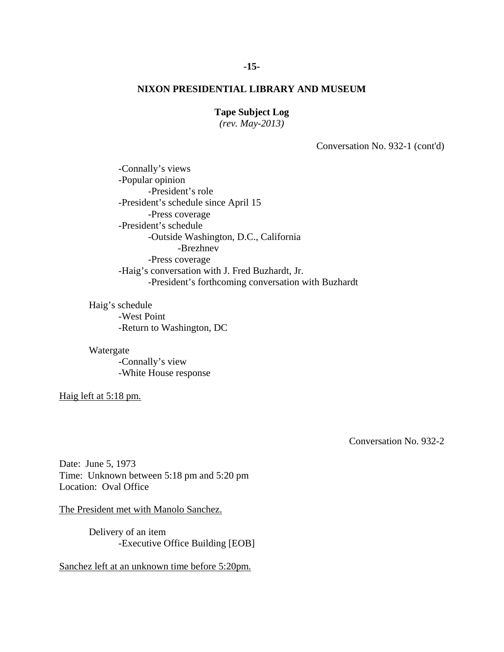## **-15-**

### **NIXON PRESIDENTIAL LIBRARY AND MUSEUM**

### **Tape Subject Log**

*(rev. May-2013)* 

Conversation No. 932-1 (cont'd)

 -Connally's views -Popular opinion -President's role -President's schedule since April 15 -Press coverage -President's schedule -Outside Washington, D.C., California -Brezhnev -Press coverage -Haig's conversation with J. Fred Buzhardt, Jr. -President's forthcoming conversation with Buzhardt

 Haig's schedule -West Point -Return to Washington, DC

 Watergate -Connally's view -White House response

Haig left at 5:18 pm.

Conversation No. 932-2

Date: June 5, 1973 Time: Unknown between 5:18 pm and 5:20 pm Location: Oval Office

The President met with Manolo Sanchez.

Delivery of an item -Executive Office Building [EOB]

Sanchez left at an unknown time before 5:20pm.